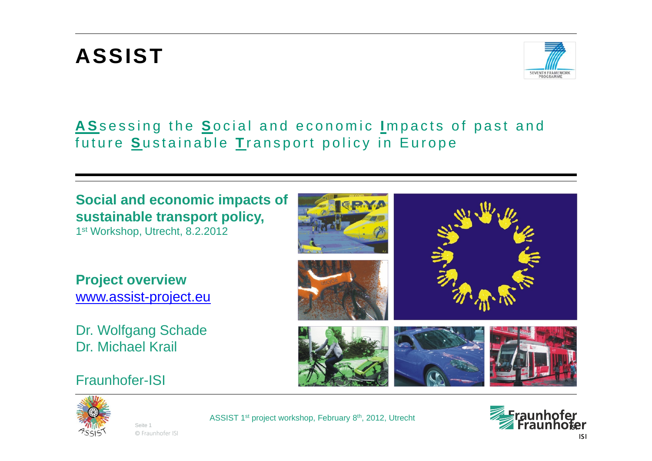### **ASSIST**



#### **A S**sessing the **S**ocial and economic **I** mpacts of past and future **S**ustainable **T** ransport policy in Europe

#### **Social and economic impacts of sustainable transport policy,**

1st Workshop, Utrecht, 8.2.2012

**Project overview** [www.assist-project.eu](http://www.assist-project.eu/)

Dr. Wolfgang Schade Dr. Michael Krail

Fraunhofer-ISI









© Fraunhofer ISI Seite 1

ASSIST 1st project workshop, February 8th, 2012, Utrecht

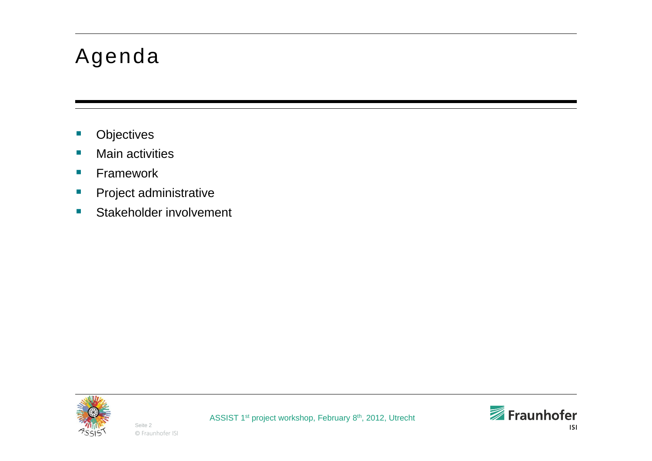#### Agenda

- l. **Objectives**
- $\mathcal{C}_{\mathcal{A}}$ **Nain activities**
- $\mathcal{C}^{\mathcal{A}}$ **Framework**
- $\mathcal{C}^{\mathcal{A}}$ Project administrative
- $\mathcal{C}_{\mathcal{A}}$ Stakeholder involvement



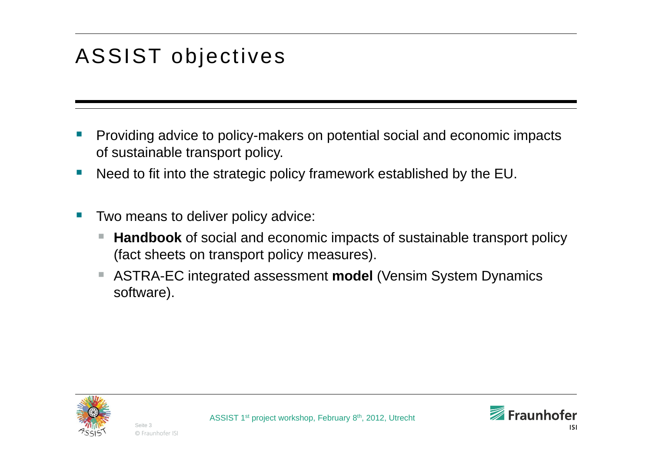# ASSIST objectives

- p. Providing advice to policy-makers on potential social and economic impacts of sustainable transport policy.
- Need to fit into the strategic policy framework established by the EU.
- p. Two means to deliver policy advice:
	- **Handbook** of social and economic impacts of sustainable transport policy (fact sheets on transport policy measures).
	- ASTRA-EC integrated assessment **model** (Vensim System Dynamics software).



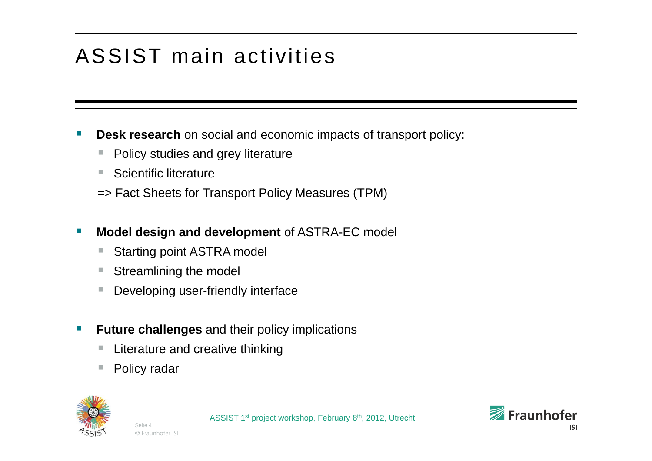# ASSIST main activities

- **Service Service Desk research** on social and economic impacts of transport policy:
	- Policy studies and grey literature
	- **The State** Scientific literature
	- => Fact Sheets for Transport Policy Measures (TPM)
- **Service Service Model design and development** of ASTRA-EC model
	- Starting point ASTRA model
	- Streamlining the model
	- $\mathcal{C}$ Developing user-friendly interface
- **Service Service Future challenges** and their policy implications
	- Literature and creative thinking
	- Policy radar



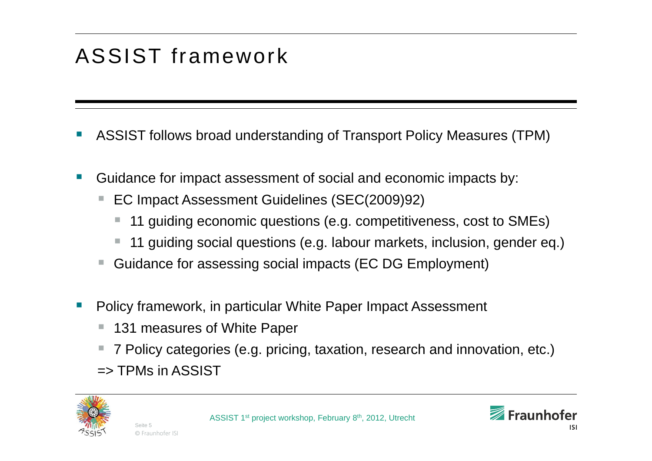# ASSIST framework

- p. ASSIST follows broad understanding of Transport Policy Measures (TPM)
- Guidance for impact assessment of social and economic impacts by:
	- EC Impact Assessment Guidelines (SEC(2009)92)
		- 11 guiding economic questions (e.g. competitiveness, cost to SMEs)
		- 11 guiding social questions (e.g. labour markets, inclusion, gender eq.)
	- Guidance for assessing social impacts (EC DG Employment)
- p. Policy framework, in particular White Paper Impact Assessment
	- 131 measures of White Paper
	- 7 Policy categories (e.g. pricing, taxation, research and innovation, etc.)
	- $\Rightarrow$  TPMs in ASSIST

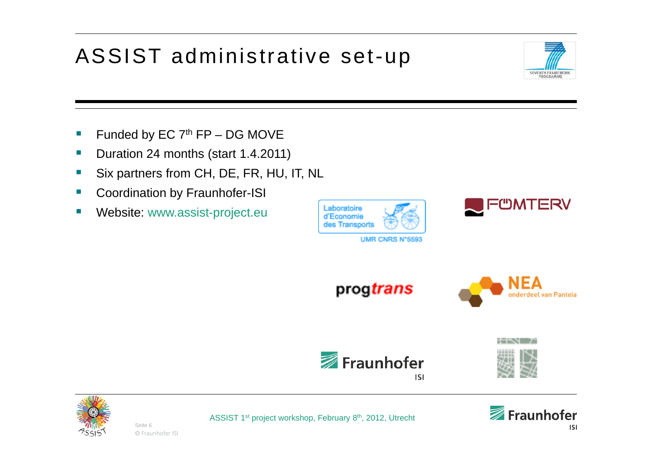# ASSIST administrative set-up



- **Service Service** Funded by EC  $7<sup>th</sup>$  FP – DG MOVE
- $\mathcal{L}_{\mathcal{A}}$ Duration 24 months (start 1.4.2011)
- Ξ Six partners from CH, DE, FR, HU, IT, NL
- Coordination by Fraunhofer-ISI
- Ξ Website: www.assist-project.eu





progtrans









© Fraunhofer ISI Seite 6

ASSIST 1st project workshop, February 8th, 2012, Utrecht

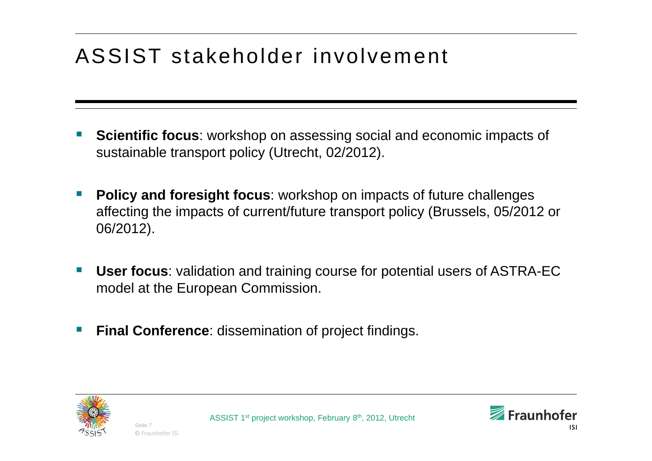# ASSIST stakeholder involvement

- p. **Scientific focus**: workshop on assessing social and economic impacts of sustainable transport policy (Utrecht, 02/2012).
- p. **Policy and foresight focus**: workshop on impacts of future challenges affecting the impacts of current/future transport policy (Brussels, 05/2012 or 06/2012).
- **User focus**: validation and training course for potential users of ASTRA-EC model at the European Commission.
- p. **Final Conference**: dissemination of project findings.